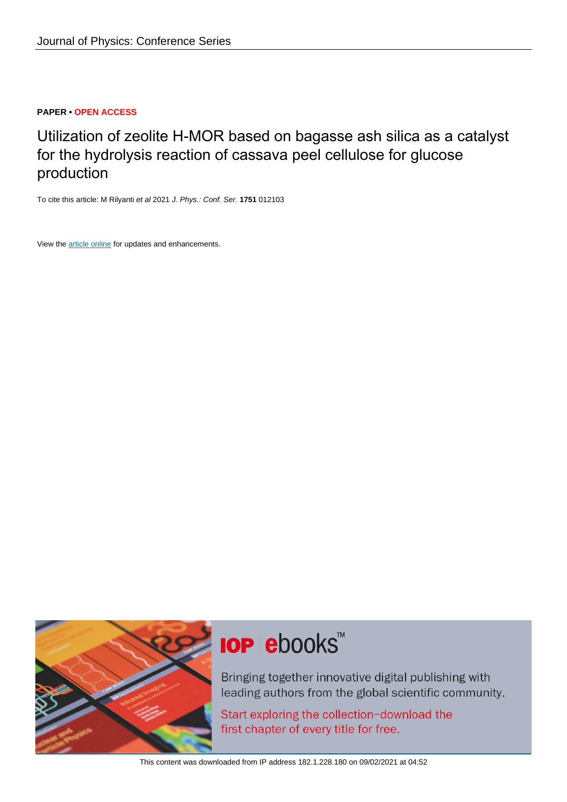# **PAPER • OPEN ACCESS**

Utilization of zeolite H-MOR based on bagasse ash silica as a catalyst for the hydrolysis reaction of cassava peel cellulose for glucose production

To cite this article: M Rilyanti et al 2021 J. Phys.: Conf. Ser. **1751** 012103

View the [article online](https://doi.org/10.1088/1742-6596/1751/1/012103) for updates and enhancements.



# **IOP ebooks™**

Bringing together innovative digital publishing with leading authors from the global scientific community.

Start exploring the collection-download the first chapter of every title for free.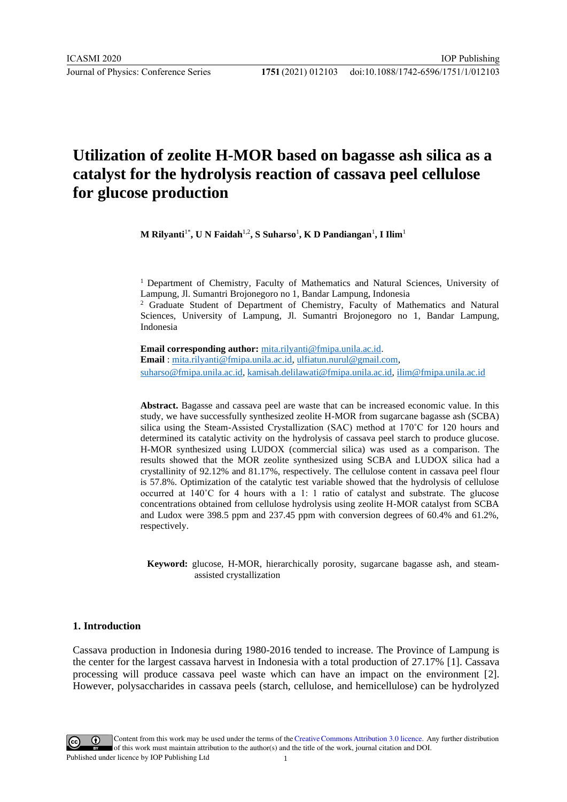# **Utilization of zeolite H-MOR based on bagasse ash silica as a catalyst for the hydrolysis reaction of cassava peel cellulose for glucose production**

**M Rilyanti**1\* **, U N Faidah**1,2 **, S Suharso**<sup>1</sup> **, K D Pandiangan**<sup>1</sup> **, I Ilim**<sup>1</sup>

<sup>1</sup> Department of Chemistry, Faculty of Mathematics and Natural Sciences, University of Lampung, Jl. Sumantri Brojonegoro no 1, Bandar Lampung, Indonesia

<sup>2</sup> Graduate Student of Department of Chemistry, Faculty of Mathematics and Natural Sciences, University of Lampung, Jl. Sumantri Brojonegoro no 1, Bandar Lampung, Indonesia

**Email corresponding author:** mita.rilyanti@fmipa.unila.ac.id. **Email** : mita.rilyanti@fmipa.unila.ac.id, ulfiatun.nurul@gmail.com, suharso@fmipa.unila.ac.id, kamisah.delilawati@fmipa.unila.ac.id, ilim@fmipa.unila.ac.id

**Abstract.** [Bagasse and cassava peel are](mailto:mita.rilyanti@fmipa.unila.ac.id) [waste that can be increase](mailto:ulfiatun.nurul@gmail.com)d economic value. In this [study, we have successfully](mailto:suharso@fmipa.unila.ac.id) [synthesized zeolite H-MOR from sug](mailto:kamisah.delilawati@fmipa.unila.ac.id)[arcane bagasse ash \(SCB](mailto:ilim@fmipa.unila.ac.id)A) silica using the Steam-Assisted Crystallization (SAC) method at 170˚C for 120 hours and determined its catalytic activity on the hydrolysis of cassava peel starch to produce glucose. H-MOR synthesized using LUDOX (commercial silica) was used as a comparison. The results showed that the MOR zeolite synthesized using SCBA and LUDOX silica had a crystallinity of 92.12% and 81.17%, respectively. The cellulose content in cassava peel flour is 57.8%. Optimization of the catalytic test variable showed that the hydrolysis of cellulose occurred at 140˚C for 4 hours with a 1: 1 ratio of catalyst and substrate. The glucose concentrations obtained from cellulose hydrolysis using zeolite H-MOR catalyst from SCBA and Ludox were 398.5 ppm and 237.45 ppm with conversion degrees of 60.4% and 61.2%, respectively.

**Keyword:** glucose, H-MOR, hierarchically porosity, sugarcane bagasse ash, and steamassisted crystallization

#### **1. Introduction**

Cassava production in Indonesia during 1980-2016 tended to increase. The Province of Lampung is the center for the largest cassava harvest in Indonesia with a total production of 27.17% [1]. Cassava processing will produce cassava peel waste which can have an impact on the environment [2]. However, polysaccharides in cassava peels (starch, cellulose, and hemicellulose) can be hydrolyzed

Content from this work may be used under the terms of theCreative Commons Attribution 3.0 licence. Any further distribution  $\bigcirc$ of this work must maintain attribution to the author(s) and the title of the work, journal citation and DOI. Published under licence by IOP Publishing Ltd 1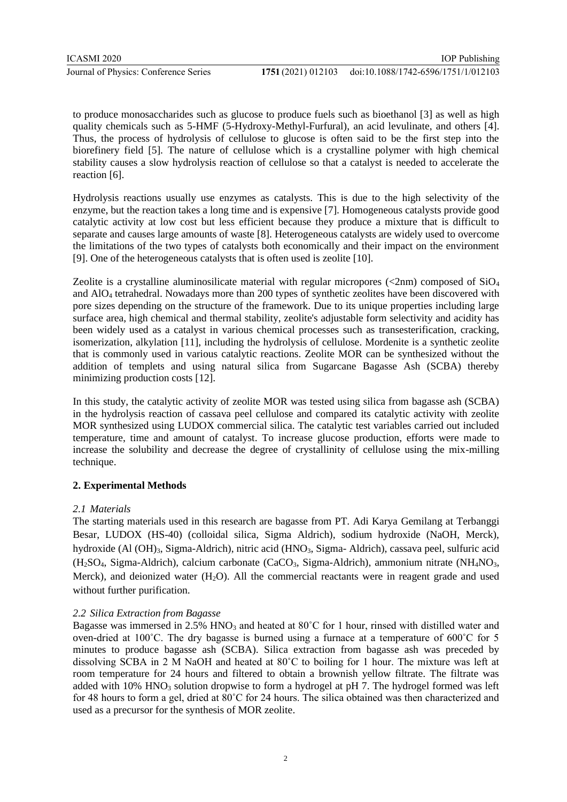ICASMI 2020 Journal of Physics: Conference Series **1751** (2021) 012103

to produce monosaccharides such as glucose to produce fuels such as bioethanol [3] as well as high quality chemicals such as 5-HMF (5-Hydroxy-Methyl-Furfural), an acid levulinate, and others [4]. Thus, the process of hydrolysis of cellulose to glucose is often said to be the first step into the biorefinery field [5]. The nature of cellulose which is a crystalline polymer with high chemical stability causes a slow hydrolysis reaction of cellulose so that a catalyst is needed to accelerate the reaction [6].

Hydrolysis reactions usually use enzymes as catalysts. This is due to the high selectivity of the enzyme, but the reaction takes a long time and is expensive [7]. Homogeneous catalysts provide good catalytic activity at low cost but less efficient because they produce a mixture that is difficult to separate and causes large amounts of waste [8]. Heterogeneous catalysts are widely used to overcome the limitations of the two types of catalysts both economically and their impact on the environment [9]. One of the heterogeneous catalysts that is often used is zeolite [10].

Zeolite is a crystalline aluminosilicate material with regular micropores  $\langle$  2nm) composed of SiO<sub>4</sub> and AlO<sup>4</sup> tetrahedral. Nowadays more than 200 types of synthetic zeolites have been discovered with pore sizes depending on the structure of the framework. Due to its unique properties including large surface area, high chemical and thermal stability, zeolite's adjustable form selectivity and acidity has been widely used as a catalyst in various chemical processes such as transesterification, cracking, isomerization, alkylation [11], including the hydrolysis of cellulose. Mordenite is a synthetic zeolite that is commonly used in various catalytic reactions. Zeolite MOR can be synthesized without the addition of templets and using natural silica from Sugarcane Bagasse Ash (SCBA) thereby minimizing production costs [12].

In this study, the catalytic activity of zeolite MOR was tested using silica from bagasse ash (SCBA) in the hydrolysis reaction of cassava peel cellulose and compared its catalytic activity with zeolite MOR synthesized using LUDOX commercial silica. The catalytic test variables carried out included temperature, time and amount of catalyst. To increase glucose production, efforts were made to increase the solubility and decrease the degree of crystallinity of cellulose using the mix-milling technique.

#### **2. Experimental Methods**

#### *2.1 Materials*

The starting materials used in this research are bagasse from PT. Adi Karya Gemilang at Terbanggi Besar, LUDOX (HS-40) (colloidal silica, Sigma Aldrich), sodium hydroxide (NaOH, Merck), hydroxide (Al (OH)<sub>3</sub>, Sigma-Aldrich), nitric acid (HNO<sub>3</sub>, Sigma-Aldrich), cassava peel, sulfuric acid (H2SO4, Sigma-Aldrich), calcium carbonate (CaCO3, Sigma-Aldrich), ammonium nitrate (NH4NO3, Merck), and deionized water  $(H_2O)$ . All the commercial reactants were in reagent grade and used without further purification.

#### *2.2 Silica Extraction from Bagasse*

Bagasse was immersed in 2.5% HNO<sub>3</sub> and heated at  $80^{\circ}$ C for 1 hour, rinsed with distilled water and oven-dried at 100˚C. The dry bagasse is burned using a furnace at a temperature of 600˚C for 5 minutes to produce bagasse ash (SCBA). Silica extraction from bagasse ash was preceded by dissolving SCBA in 2 M NaOH and heated at 80˚C to boiling for 1 hour. The mixture was left at room temperature for 24 hours and filtered to obtain a brownish yellow filtrate. The filtrate was added with  $10\%$  HNO<sub>3</sub> solution dropwise to form a hydrogel at pH 7. The hydrogel formed was left for 48 hours to form a gel, dried at 80˚C for 24 hours. The silica obtained was then characterized and used as a precursor for the synthesis of MOR zeolite.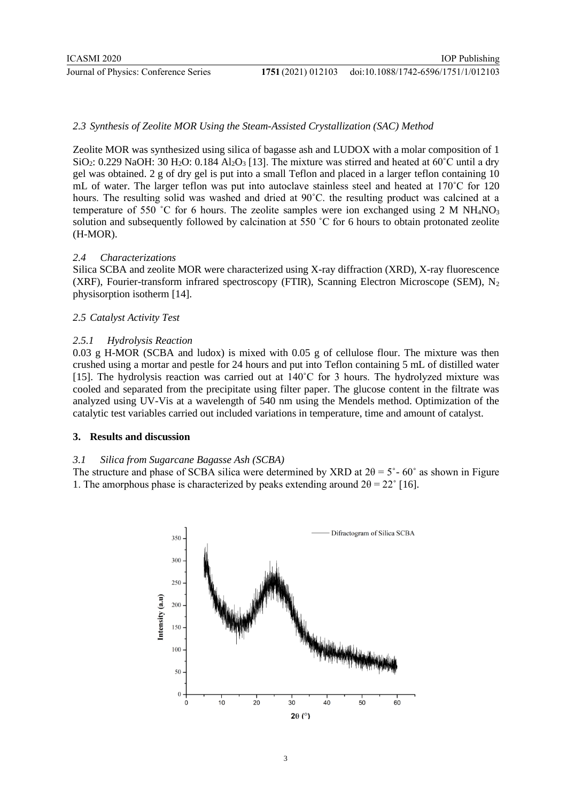*2.3 Synthesis of Zeolite MOR Using the Steam-Assisted Crystallization (SAC) Method*

Zeolite MOR was synthesized using silica of bagasse ash and LUDOX with a molar composition of 1 SiO<sub>2</sub>: 0.229 NaOH: 30 H<sub>2</sub>O: 0.184 Al<sub>2</sub>O<sub>3</sub> [13]. The mixture was stirred and heated at 60<sup>°</sup>C until a dry gel was obtained. 2 g of dry gel is put into a small Teflon and placed in a larger teflon containing 10 mL of water. The larger teflon was put into autoclave stainless steel and heated at 170˚C for 120 hours. The resulting solid was washed and dried at 90°C. the resulting product was calcined at a temperature of 550 °C for 6 hours. The zeolite samples were ion exchanged using 2 M  $NH<sub>4</sub>NO<sub>3</sub>$ solution and subsequently followed by calcination at 550 °C for 6 hours to obtain protonated zeolite (H-MOR).

#### *2.4 Characterizations*

Silica SCBA and zeolite MOR were characterized using X-ray diffraction (XRD), X-ray fluorescence (XRF), Fourier-transform infrared spectroscopy (FTIR), Scanning Electron Microscope (SEM),  $N_2$ physisorption isotherm [14].

# *2.5 Catalyst Activity Test*

# *2.5.1 Hydrolysis Reaction*

0.03 g H-MOR (SCBA and ludox) is mixed with 0.05 g of cellulose flour. The mixture was then crushed using a mortar and pestle for 24 hours and put into Teflon containing 5 mL of distilled water [15]. The hydrolysis reaction was carried out at 140˚C for 3 hours. The hydrolyzed mixture was cooled and separated from the precipitate using filter paper. The glucose content in the filtrate was analyzed using UV-Vis at a wavelength of 540 nm using the Mendels method. Optimization of the catalytic test variables carried out included variations in temperature, time and amount of catalyst.

#### **3. Results and discussion**

#### *3.1 Silica from Sugarcane Bagasse Ash (SCBA)*

The structure and phase of SCBA silica were determined by XRD at  $2\theta = 5^{\circ}$ - 60° as shown in Figure 1. The amorphous phase is characterized by peaks extending around  $2\theta = 22^{\circ}$  [16].

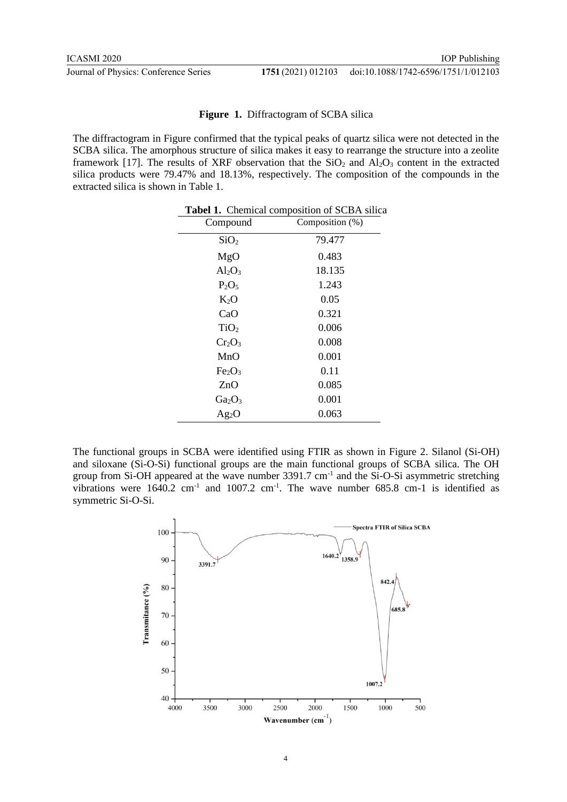**Figure 1.** Diffractogram of SCBA silica

The diffractogram in Figure confirmed that the typical peaks of quartz silica were not detected in the SCBA silica. The amorphous structure of silica makes it easy to rearrange the structure into a zeolite framework [17]. The results of XRF observation that the  $SiO<sub>2</sub>$  and  $Al<sub>2</sub>O<sub>3</sub>$  content in the extracted silica products were 79.47% and 18.13%, respectively. The composition of the compounds in the extracted silica is shown in Table 1.

| <b>Tabel 1.</b> Chemical composition of SCBA silica |                    |
|-----------------------------------------------------|--------------------|
| Compound                                            | Composition $(\%)$ |
| SiO <sub>2</sub>                                    | 79.477             |
| MgO                                                 | 0.483              |
| $Al_2O_3$                                           | 18.135             |
| $P_2O_5$                                            | 1.243              |
| $K_2O$                                              | 0.05               |
| CaO                                                 | 0.321              |
| TiO <sub>2</sub>                                    | 0.006              |
| $Cr_2O_3$                                           | 0.008              |
| MnO                                                 | 0.001              |
| Fe <sub>2</sub> O <sub>3</sub>                      | 0.11               |
| ZnO                                                 | 0.085              |
| Ga <sub>2</sub> O <sub>3</sub>                      | 0.001              |
| $Ag_2O$                                             | 0.063              |
|                                                     |                    |

The functional groups in SCBA were identified using FTIR as shown in Figure 2. Silanol (Si-OH) and siloxane (Si-O-Si) functional groups are the main functional groups of SCBA silica. The OH group from Si-OH appeared at the wave number  $3391.7 \text{ cm}^{-1}$  and the Si-O-Si asymmetric stretching vibrations were  $1640.2$  cm<sup>-1</sup> and  $1007.2$  cm<sup>-1</sup>. The wave number  $685.8$  cm-1 is identified as symmetric Si-O-Si.

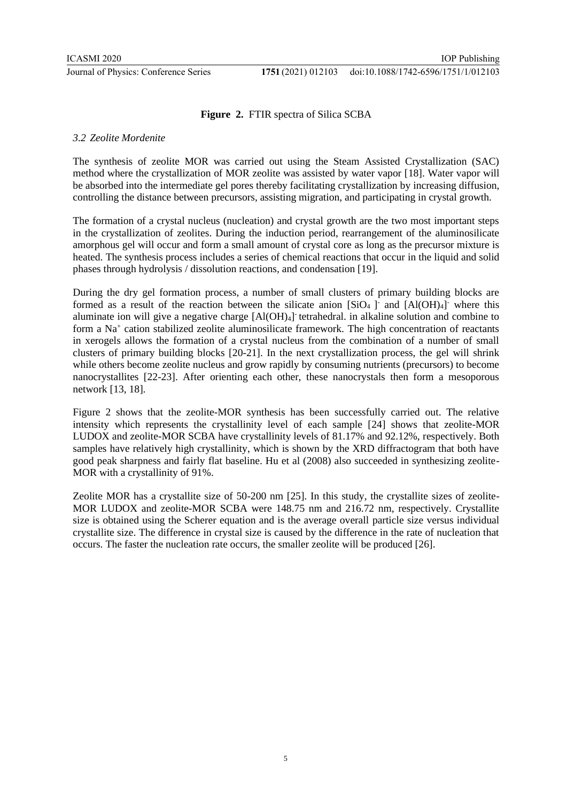# **Figure 2.** FTIR spectra of Silica SCBA

#### *3.2 Zeolite Mordenite*

The synthesis of zeolite MOR was carried out using the Steam Assisted Crystallization (SAC) method where the crystallization of MOR zeolite was assisted by water vapor [18]. Water vapor will be absorbed into the intermediate gel pores thereby facilitating crystallization by increasing diffusion, controlling the distance between precursors, assisting migration, and participating in crystal growth.

The formation of a crystal nucleus (nucleation) and crystal growth are the two most important steps in the crystallization of zeolites. During the induction period, rearrangement of the aluminosilicate amorphous gel will occur and form a small amount of crystal core as long as the precursor mixture is heated. The synthesis process includes a series of chemical reactions that occur in the liquid and solid phases through hydrolysis / dissolution reactions, and condensation [19].

During the dry gel formation process, a number of small clusters of primary building blocks are formed as a result of the reaction between the silicate anion  $[SiO<sub>4</sub>]$  and  $[Al(OH)<sub>4</sub>]$  where this aluminate ion will give a negative charge [Al(OH)<sub>4</sub>] tetrahedral. in alkaline solution and combine to form a Na<sup>+</sup> cation stabilized zeolite aluminosilicate framework. The high concentration of reactants in xerogels allows the formation of a crystal nucleus from the combination of a number of small clusters of primary building blocks [20-21]. In the next crystallization process, the gel will shrink while others become zeolite nucleus and grow rapidly by consuming nutrients (precursors) to become nanocrystallites [22-23]. After orienting each other, these nanocrystals then form a mesoporous network [13, 18].

Figure 2 shows that the zeolite-MOR synthesis has been successfully carried out. The relative intensity which represents the crystallinity level of each sample [24] shows that zeolite-MOR LUDOX and zeolite-MOR SCBA have crystallinity levels of 81.17% and 92.12%, respectively. Both samples have relatively high crystallinity, which is shown by the XRD diffractogram that both have good peak sharpness and fairly flat baseline. Hu et al (2008) also succeeded in synthesizing zeolite-MOR with a crystallinity of 91%.

Zeolite MOR has a crystallite size of 50-200 nm [25]. In this study, the crystallite sizes of zeolite-MOR LUDOX and zeolite-MOR SCBA were 148.75 nm and 216.72 nm, respectively. Crystallite size is obtained using the Scherer equation and is the average overall particle size versus individual crystallite size. The difference in crystal size is caused by the difference in the rate of nucleation that occurs. The faster the nucleation rate occurs, the smaller zeolite will be produced [26].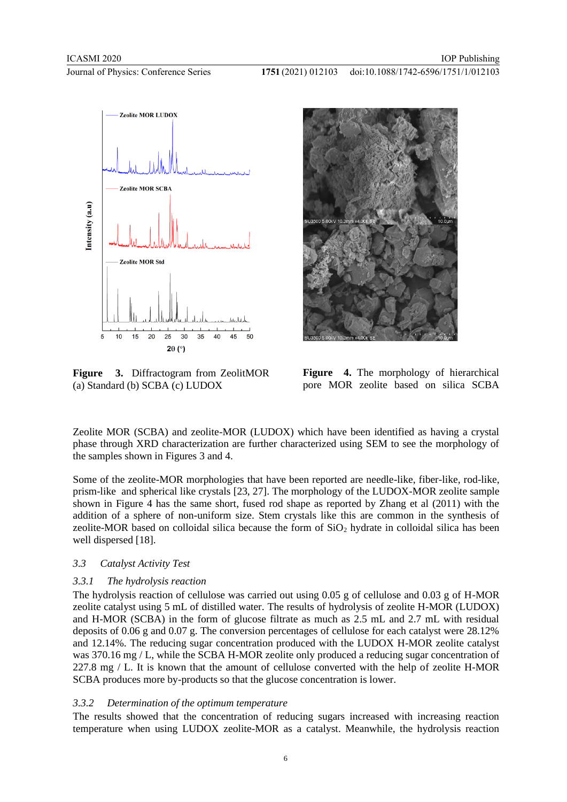

**Figure 3.** Diffractogram from ZeolitMOR (a) Standard (b) SCBA (c) LUDOX



**Figure 4.** The morphology of hierarchical pore MOR zeolite based on silica SCBA

Zeolite MOR (SCBA) and zeolite-MOR (LUDOX) which have been identified as having a crystal phase through XRD characterization are further characterized using SEM to see the morphology of the samples shown in Figures 3 and 4.

Some of the zeolite-MOR morphologies that have been reported are needle-like, fiber-like, rod-like, prism-like and spherical like crystals [23, 27]. The morphology of the LUDOX-MOR zeolite sample shown in Figure 4 has the same short, fused rod shape as reported by Zhang et al (2011) with the addition of a sphere of non-uniform size. Stem crystals like this are common in the synthesis of zeolite-MOR based on colloidal silica because the form of  $SiO<sub>2</sub>$  hydrate in colloidal silica has been well dispersed [18].

#### *3.3 Catalyst Activity Test*

#### *3.3.1 The hydrolysis reaction*

The hydrolysis reaction of cellulose was carried out using 0.05 g of cellulose and 0.03 g of H-MOR zeolite catalyst using 5 mL of distilled water. The results of hydrolysis of zeolite H-MOR (LUDOX) and H-MOR (SCBA) in the form of glucose filtrate as much as 2.5 mL and 2.7 mL with residual deposits of 0.06 g and 0.07 g. The conversion percentages of cellulose for each catalyst were 28.12% and 12.14%. The reducing sugar concentration produced with the LUDOX H-MOR zeolite catalyst was 370.16 mg / L, while the SCBA H-MOR zeolite only produced a reducing sugar concentration of 227.8 mg / L. It is known that the amount of cellulose converted with the help of zeolite H-MOR SCBA produces more by-products so that the glucose concentration is lower.

#### *3.3.2 Determination of the optimum temperature*

The results showed that the concentration of reducing sugars increased with increasing reaction temperature when using LUDOX zeolite-MOR as a catalyst. Meanwhile, the hydrolysis reaction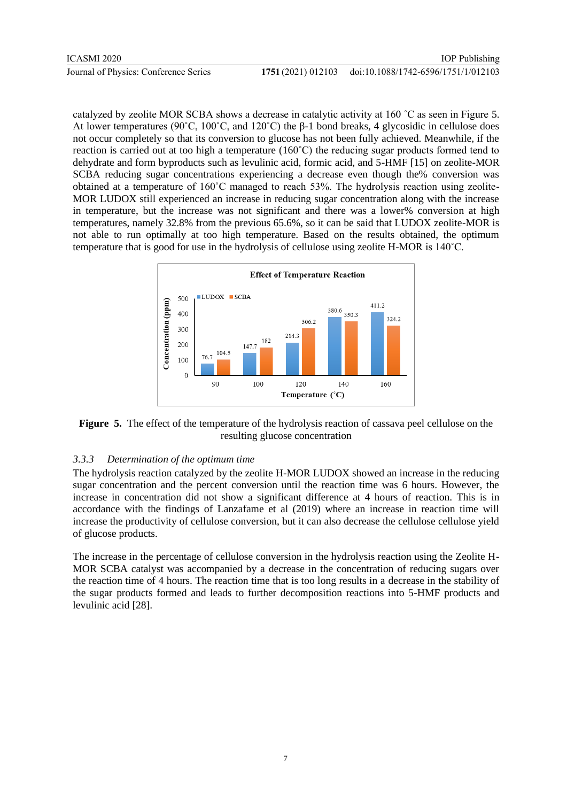catalyzed by zeolite MOR SCBA shows a decrease in catalytic activity at 160 ˚C as seen in Figure 5. At lower temperatures (90˚C, 100˚C, and 120˚C) the β-1 bond breaks, 4 glycosidic in cellulose does not occur completely so that its conversion to glucose has not been fully achieved. Meanwhile, if the reaction is carried out at too high a temperature (160˚C) the reducing sugar products formed tend to dehydrate and form byproducts such as levulinic acid, formic acid, and 5-HMF [15] on zeolite-MOR SCBA reducing sugar concentrations experiencing a decrease even though the% conversion was obtained at a temperature of 160˚C managed to reach 53%. The hydrolysis reaction using zeolite-MOR LUDOX still experienced an increase in reducing sugar concentration along with the increase in temperature, but the increase was not significant and there was a lower% conversion at high temperatures, namely 32.8% from the previous 65.6%, so it can be said that LUDOX zeolite-MOR is not able to run optimally at too high temperature. Based on the results obtained, the optimum temperature that is good for use in the hydrolysis of cellulose using zeolite H-MOR is 140˚C.





#### *3.3.3 Determination of the optimum time*

The hydrolysis reaction catalyzed by the zeolite H-MOR LUDOX showed an increase in the reducing sugar concentration and the percent conversion until the reaction time was 6 hours. However, the increase in concentration did not show a significant difference at 4 hours of reaction. This is in accordance with the findings of Lanzafame et al (2019) where an increase in reaction time will increase the productivity of cellulose conversion, but it can also decrease the cellulose cellulose yield of glucose products.

The increase in the percentage of cellulose conversion in the hydrolysis reaction using the Zeolite H-MOR SCBA catalyst was accompanied by a decrease in the concentration of reducing sugars over the reaction time of 4 hours. The reaction time that is too long results in a decrease in the stability of the sugar products formed and leads to further decomposition reactions into 5-HMF products and levulinic acid [28].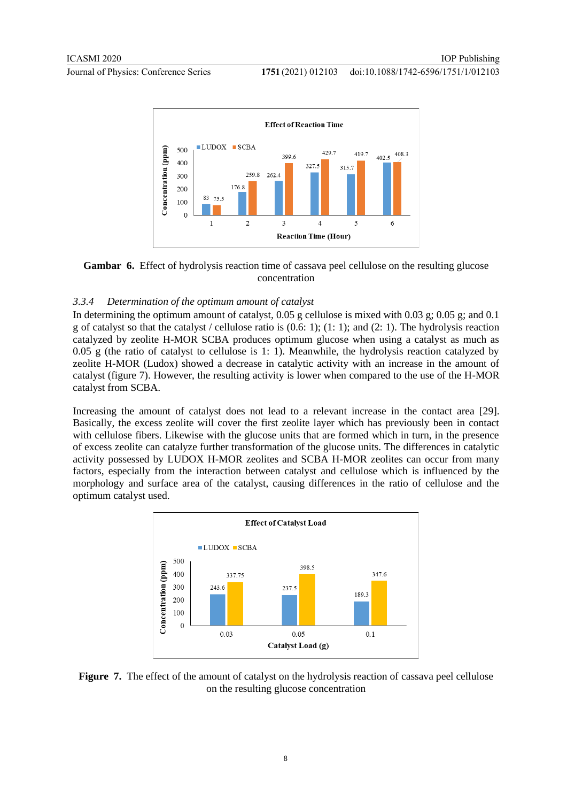doi:10.1088/1742-6596/1751/1/012103





#### *3.3.4 Determination of the optimum amount of catalyst*

In determining the optimum amount of catalyst, 0.05 g cellulose is mixed with 0.03 g; 0.05 g; and 0.1 g of catalyst so that the catalyst / cellulose ratio is (0.6: 1); (1: 1); and (2: 1). The hydrolysis reaction catalyzed by zeolite H-MOR SCBA produces optimum glucose when using a catalyst as much as 0.05 g (the ratio of catalyst to cellulose is 1: 1). Meanwhile, the hydrolysis reaction catalyzed by zeolite H-MOR (Ludox) showed a decrease in catalytic activity with an increase in the amount of catalyst (figure 7). However, the resulting activity is lower when compared to the use of the H-MOR catalyst from SCBA.

Increasing the amount of catalyst does not lead to a relevant increase in the contact area [29]. Basically, the excess zeolite will cover the first zeolite layer which has previously been in contact with cellulose fibers. Likewise with the glucose units that are formed which in turn, in the presence of excess zeolite can catalyze further transformation of the glucose units. The differences in catalytic activity possessed by LUDOX H-MOR zeolites and SCBA H-MOR zeolites can occur from many factors, especially from the interaction between catalyst and cellulose which is influenced by the morphology and surface area of the catalyst, causing differences in the ratio of cellulose and the optimum catalyst used.



**Figure 7.** The effect of the amount of catalyst on the hydrolysis reaction of cassava peel cellulose on the resulting glucose concentration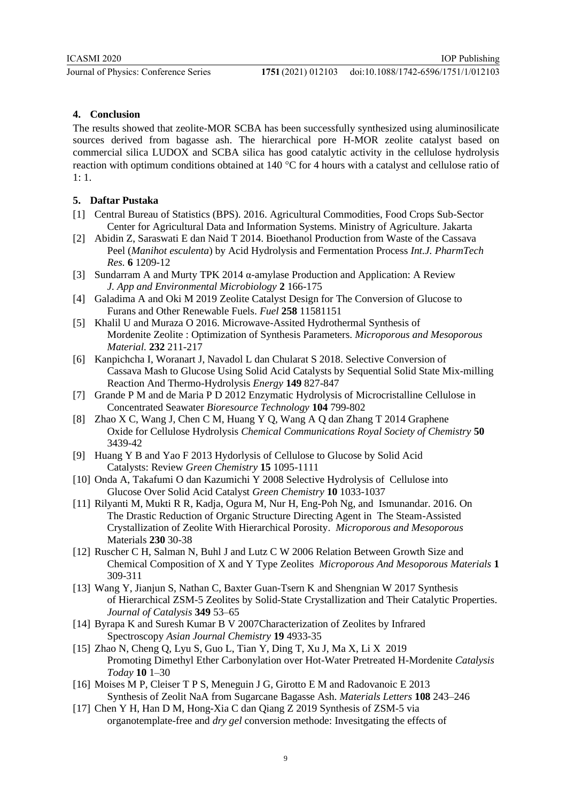# **4. Conclusion**

The results showed that zeolite-MOR SCBA has been successfully synthesized using aluminosilicate sources derived from bagasse ash. The hierarchical pore H-MOR zeolite catalyst based on commercial silica LUDOX and SCBA silica has good catalytic activity in the cellulose hydrolysis reaction with optimum conditions obtained at  $140^{\circ}$ C for 4 hours with a catalyst and cellulose ratio of 1: 1.

# **5. Daftar Pustaka**

- [1] Central Bureau of Statistics (BPS). 2016. Agricultural Commodities, Food Crops Sub-Sector Center for Agricultural Data and Information Systems. Ministry of Agriculture. Jakarta
- [2] Abidin Z, Saraswati E dan Naid T 2014. Bioethanol Production from Waste of the Cassava Peel (*Manihot esculenta*) by Acid Hydrolysis and Fermentation Process *Int.J. PharmTech Res.* **6** 1209-12
- [3] Sundarram A and Murty TPK 2014 α-amylase Production and Application: A Review *J. App and Environmental Microbiology* **2** 166-175
- [4] Galadima A and Oki M 2019 Zeolite Catalyst Design for The Conversion of Glucose to Furans and Other Renewable Fuels. *Fuel* **258** 11581151
- [5] Khalil U and Muraza O 2016. Microwave-Assited Hydrothermal Synthesis of Mordenite Zeolite : Optimization of Synthesis Parameters. *Microporous and Mesoporous Material.* **232** 211-217
- [6] Kanpichcha I, Woranart J, Navadol L dan Chularat S 2018. Selective Conversion of Cassava Mash to Glucose Using Solid Acid Catalysts by Sequential Solid State Mix-milling Reaction And Thermo-Hydrolysis *Energy* **149** 827-847
- [7] Grande P M and de Maria P D 2012 Enzymatic Hydrolysis of Microcristalline Cellulose in Concentrated Seawater *Bioresource Technology* **104** 799-802
- [8] Zhao X C, Wang J, Chen C M, Huang Y Q, Wang A Q dan Zhang T 2014 Graphene Oxide for Cellulose Hydrolysis *Chemical Communications Royal Society of Chemistry* **50** 3439-42
- [9] Huang Y B and Yao F 2013 Hydorlysis of Cellulose to Glucose by Solid Acid Catalysts: Review *Green Chemistry* **15** 1095-1111
- [10] Onda A, Takafumi O dan Kazumichi Y 2008 Selective Hydrolysis of Cellulose into Glucose Over Solid Acid Catalyst *Green Chemistry* **10** 1033-1037
- [11] Rilyanti M, Mukti R R, Kadja, Ogura M, Nur H, Eng-Poh Ng, and Ismunandar. 2016. On The Drastic Reduction of Organic Structure Directing Agent in The Steam-Assisted Crystallization of Zeolite With Hierarchical Porosity. *Microporous and Mesoporous* Materials **230** 30-38
- [12] Ruscher C H, Salman N, Buhl J and Lutz C W 2006 Relation Between Growth Size and Chemical Composition of X and Y Type Zeolites *Microporous And Mesoporous Materials* **1** 309-311
- [13] Wang Y, Jianjun S, Nathan C, Baxter Guan-Tsern K and Shengnian W 2017 Synthesis of Hierarchical ZSM-5 Zeolites by Solid-State Crystallization and Their Catalytic Properties. *Journal of Catalysis* **349** 53–65
- [14] Byrapa K and Suresh Kumar B V 2007Characterization of Zeolites by Infrared Spectroscopy *Asian Journal Chemistry* **19** 4933-35
- [15] Zhao N, Cheng Q, Lyu S, Guo L, Tian Y, Ding T, Xu J, Ma X, Li X 2019 Promoting Dimethyl Ether Carbonylation over Hot-Water Pretreated H-Mordenite *Catalysis Today* **10** 1–30
- [16] Moises M P, Cleiser T P S, Meneguin J G, Girotto E M and Radovanoic E 2013 Synthesis of Zeolit NaA from Sugarcane Bagasse Ash. *Materials Letters* **108** 243–246
- [17] Chen Y H, Han D M, Hong-Xia C dan Qiang Z 2019 Synthesis of ZSM-5 via organotemplate-free and *dry gel* conversion methode: Invesitgating the effects of